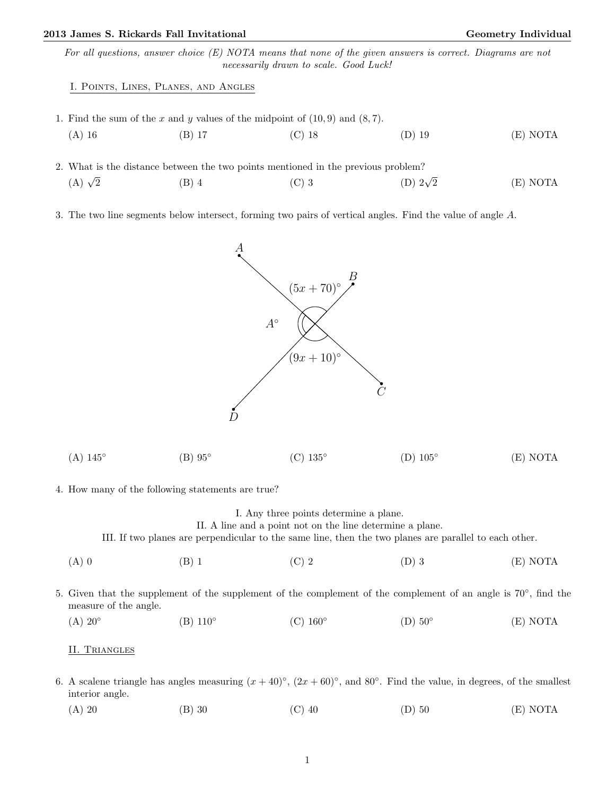# 2013 James S. Rickards Fall Invitational Christian Communication Ceometry Individual Geometry Individual

For all questions, answer choice (E) NOTA means that none of the given answers is correct. Diagrams are not necessarily drawn to scale. Good Luck!

## I. Points, Lines, Planes, and Angles

- 1. Find the sum of the x and y values of the midpoint of  $(10, 9)$  and  $(8, 7)$ .
- (A) 16 (B) 17 (C) 18 (D) 19 (E) NOTA
- 2. What is the distance between the two points mentioned in the previous problem?  $(A)$   $\sqrt{2}$  $\frac{2}{2}$  (B) 4 (C) 3 (D) 2 $\sqrt{ }$ (D)  $2\sqrt{2}$  (E) NOTA
- 3. The two line segments below intersect, forming two pairs of vertical angles. Find the value of angle A.



4. How many of the following statements are true?

# I. Any three points determine a plane.

II. A line and a point not on the line determine a plane.

III. If two planes are perpendicular to the same line, then the two planes are parallel to each other.

- (A) 0 (B) 1 (C) 2 (D) 3 (E) NOTA
- 5. Given that the supplement of the supplement of the complement of the complement of an angle is 70°, find the measure of the angle.
	- $(A)$  20 $^{\circ}$  $(B)$  110 $\circ$  $(C)$  160 $\circ$  $(D)$  50 $^{\circ}$ (E) NOTA

#### II. Triangles

- 6. A scalene triangle has angles measuring  $(x+40)^\circ$ ,  $(2x+60)^\circ$ , and 80°. Find the value, in degrees, of the smallest interior angle.
	- (A) 20 (B) 30 (C) 40 (D) 50 (E) NOTA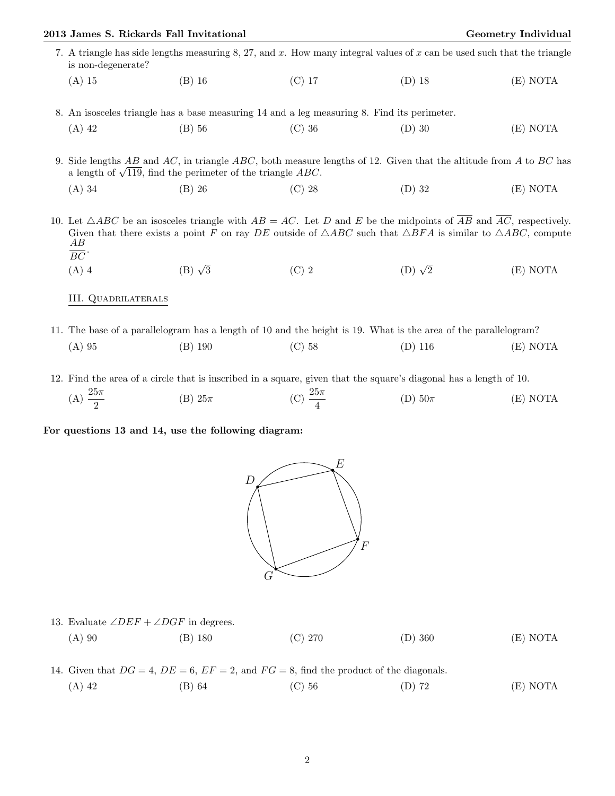|                                                                                                                                                                                        | 2013 James S. Rickards Fall Invitational                                                                                                      |                |                                                                                                                                                                                                                                                                                                   |                  | Geometry Individual |  |
|----------------------------------------------------------------------------------------------------------------------------------------------------------------------------------------|-----------------------------------------------------------------------------------------------------------------------------------------------|----------------|---------------------------------------------------------------------------------------------------------------------------------------------------------------------------------------------------------------------------------------------------------------------------------------------------|------------------|---------------------|--|
|                                                                                                                                                                                        | 7. A triangle has side lengths measuring 8, 27, and x. How many integral values of x can be used such that the triangle<br>is non-degenerate? |                |                                                                                                                                                                                                                                                                                                   |                  |                     |  |
|                                                                                                                                                                                        | $(A)$ 15                                                                                                                                      | $(B)$ 16       | $(C)$ 17                                                                                                                                                                                                                                                                                          | $(D)$ 18         | (E) NOTA            |  |
|                                                                                                                                                                                        |                                                                                                                                               |                | 8. An isosceles triangle has a base measuring 14 and a leg measuring 8. Find its perimeter.                                                                                                                                                                                                       |                  |                     |  |
|                                                                                                                                                                                        | $(A)$ 42                                                                                                                                      | $(B)$ 56       | $(C)$ 36                                                                                                                                                                                                                                                                                          | $(D)$ 30         | (E) NOTA            |  |
| 9. Side lengths AB and AC, in triangle ABC, both measure lengths of 12. Given that the altitude from A to BC has<br>a length of $\sqrt{119}$ , find the perimeter of the triangle ABC. |                                                                                                                                               |                |                                                                                                                                                                                                                                                                                                   |                  |                     |  |
|                                                                                                                                                                                        | $(A)$ 34                                                                                                                                      | $(B)$ 26       | $(C)$ 28                                                                                                                                                                                                                                                                                          | $(D)$ 32         | (E) NOTA            |  |
|                                                                                                                                                                                        | AВ<br>$\overline{BC}$ .                                                                                                                       |                | 10. Let $\triangle ABC$ be an isosceles triangle with $AB = AC$ . Let D and E be the midpoints of $\overline{AB}$ and $\overline{AC}$ , respectively.<br>Given that there exists a point F on ray DE outside of $\triangle ABC$ such that $\triangle BFA$ is similar to $\triangle ABC$ , compute |                  |                     |  |
|                                                                                                                                                                                        | $(A)$ 4                                                                                                                                       | $(B) \sqrt{3}$ | $(C)$ 2                                                                                                                                                                                                                                                                                           | $(D)$ $\sqrt{2}$ | (E) NOTA            |  |
|                                                                                                                                                                                        | <b>III. QUADRILATERALS</b>                                                                                                                    |                |                                                                                                                                                                                                                                                                                                   |                  |                     |  |

11. The base of a parallelogram has a length of 10 and the height is 19. What is the area of the parallelogram? (A) 95 (B) 190 (C) 58 (D) 116 (E) NOTA

12. Find the area of a circle that is inscribed in a square, given that the square's diagonal has a length of 10. (A)  $\frac{25\pi}{2}$ (B)  $25\pi$  (C)  $\frac{25\pi}{4}$ (D)  $50\pi$  (E) NOTA

For questions 13 and 14, use the following diagram:



| 13. Evaluate $\angle DEF + \angle DGF$ in degrees. |           |         |           |          |  |  |
|----------------------------------------------------|-----------|---------|-----------|----------|--|--|
| $(A)$ 90                                           | $(B)$ 180 | (C) 270 | $(D)$ 360 | (E) NOTA |  |  |

14. Given that  $DG = 4$ ,  $DE = 6$ ,  $EF = 2$ , and  $FG = 8$ , find the product of the diagonals. (A) 42 (B) 64 (C) 56 (D) 72 (E) NOTA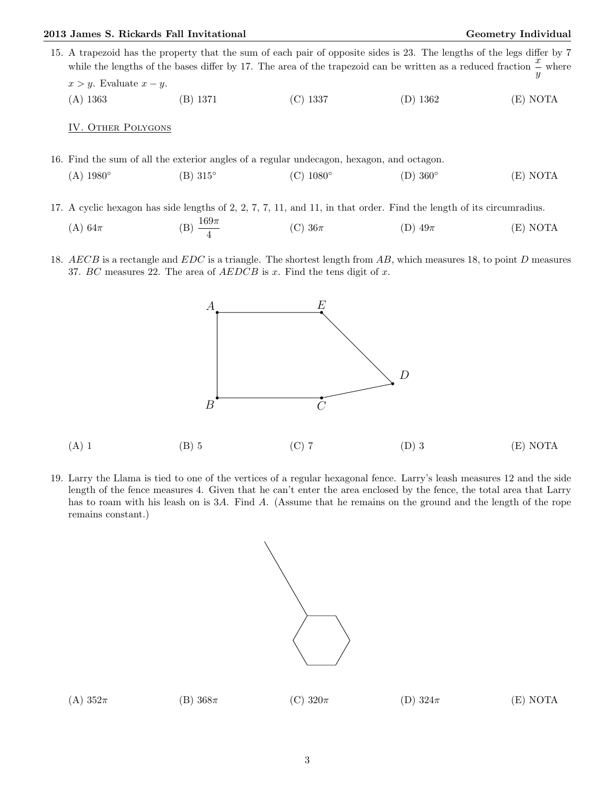#### 2013 James S. Rickards Fall Invitational Christian Communication Ceometry Individual Geometry Individual

- 15. A trapezoid has the property that the sum of each pair of opposite sides is 23. The lengths of the legs differ by 7 while the lengths of the bases differ by 17. The area of the trapezoid can be written as a reduced fraction  $\frac{x}{y}$  where  $x > y$ . Evaluate  $x - y$ .
	- (A) 1363 (B) 1371 (C) 1337 (D) 1362 (E) NOTA

## IV. Other Polygons

remains constant.)

- 16. Find the sum of all the exterior angles of a regular undecagon, hexagon, and octagon.  $(A)$  1980 $^{\circ}$ (B) 315◦  $(C)$  1080 $\circ$  $(D)$  360 $\circ$ (E) NOTA
- 17. A cyclic hexagon has side lengths of 2, 2, 7, 7, 11, and 11, in that order. Find the length of its circumradius.

(A) 
$$
64\pi
$$
 \t\t (B)  $\frac{169\pi}{4}$  \t\t (C)  $36\pi$  \t\t (D)  $49\pi$  \t\t (E) NOTA

18. AECB is a rectangle and EDC is a triangle. The shortest length from AB, which measures 18, to point D measures 37. BC measures 22. The area of  $AEDCB$  is x. Find the tens digit of x.



19. Larry the Llama is tied to one of the vertices of a regular hexagonal fence. Larry's leash measures 12 and the side length of the fence measures 4. Given that he can't enter the area enclosed by the fence, the total area that Larry has to roam with his leash on is 3A. Find A. (Assume that he remains on the ground and the length of the rope



| (A) $352\pi$ | (B) $368\pi$ | (C) $320\pi$ | (D) $324\pi$ | (E) NOTA |
|--------------|--------------|--------------|--------------|----------|
|              |              |              |              |          |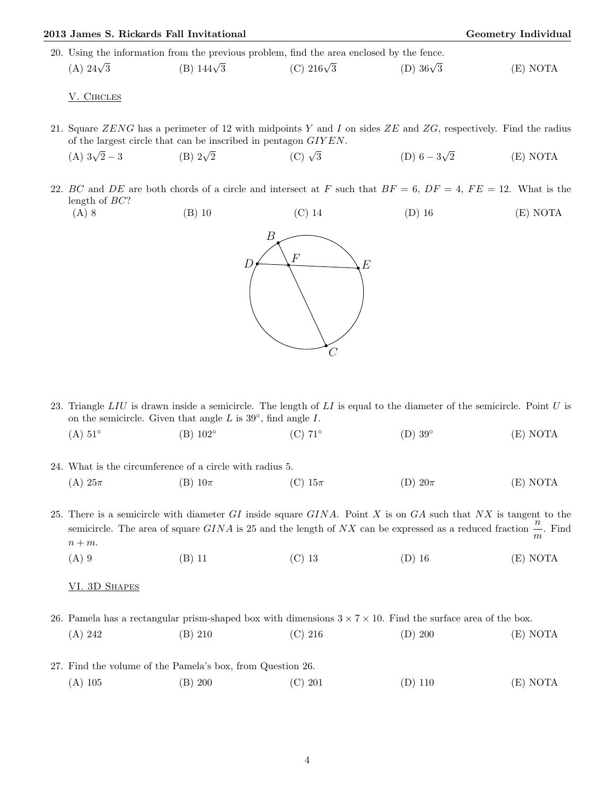| 2013 James S. Rickards Fall Invitational                                                  |                   |                                                                |                                                                                                                      | Geometry Individual |  |
|-------------------------------------------------------------------------------------------|-------------------|----------------------------------------------------------------|----------------------------------------------------------------------------------------------------------------------|---------------------|--|
| 20. Using the information from the previous problem, find the area enclosed by the fence. |                   |                                                                |                                                                                                                      |                     |  |
| (A) $24\sqrt{3}$                                                                          | (B) $144\sqrt{3}$ | (C) $216\sqrt{3}$                                              | (D) $36\sqrt{3}$                                                                                                     | (E) NOTA            |  |
| V. CIRCLES                                                                                |                   |                                                                |                                                                                                                      |                     |  |
|                                                                                           |                   | of the largest circle that can be inscribed in pentagon GIYEN. | 21. Square ZENG has a perimeter of 12 with midpoints Y and I on sides ZE and ZG, respectively. Find the radius       |                     |  |
| (A) $3\sqrt{2}-3$                                                                         | (B) $2\sqrt{2}$   | $(C)$ $\sqrt{3}$                                               | (D) $6-3\sqrt{2}$                                                                                                    | (E) NOTA            |  |
| length of $BC$ ?                                                                          |                   |                                                                | 22. BC and DE are both chords of a circle and intersect at F such that $BF = 6$ , $DF = 4$ , $FE = 12$ . What is the |                     |  |
| $(A)$ 8                                                                                   | $(B)$ 10          | $(C)$ 14                                                       | $(D)$ 16                                                                                                             | (E) NOTA            |  |
|                                                                                           |                   | В<br>$\boldsymbol{F}$                                          | E                                                                                                                    |                     |  |

| $(A) 51^\circ$                                                      | $(B)$ 102 $^{\circ}$ | $(C)$ 71° | $(D)$ 39 $^{\circ}$ | (E) NOTA |
|---------------------------------------------------------------------|----------------------|-----------|---------------------|----------|
|                                                                     |                      |           |                     |          |
| $0.4$ $1371$ $11$ $11$ $11$ $11$ $11$ $11$ $11$ $11$ $11$ $11$ $11$ |                      |           |                     |          |

23. Triangle  $LIU$  is drawn inside a semicircle. The length of  $LI$  is equal to the diameter of the semicircle. Point  $U$  is

on the semicircle. Given that angle  $L$  is  $39^{\circ}$ , find angle  $I$ .

 $\mathcal{C}_{0}^{(n)}$ 

| 24. What is the circumference of a circle with radius 5. |                |             |             |          |  |
|----------------------------------------------------------|----------------|-------------|-------------|----------|--|
| $(A) 25\pi$                                              | $(B)$ 10 $\pi$ | (C) $15\pi$ | (D) $20\pi$ | (E) NOTA |  |

25. There is a semicircle with diameter  $GI$  inside square  $GINA$ . Point X is on  $GA$  such that  $NX$  is tangent to the semicircle. The area of square GINA is 25 and the length of NX can be expressed as a reduced fraction  $\frac{n}{m}$ . Find  $n + m$ .

(A) 9 (B) 11 (C) 13 (D) 16 (E) NOTA

VI. 3D SHAPES

26. Pamela has a rectangular prism-shaped box with dimensions  $3 \times 7 \times 10$ . Find the surface area of the box.

| (A) 242 | (B) 210                                                    | $(C)$ 216 | (D) 200   | (E) NOTA |
|---------|------------------------------------------------------------|-----------|-----------|----------|
|         | 27. Find the volume of the Pamela's box, from Question 26. |           |           |          |
| (A) 105 | (B) 200                                                    | (C) 201   | $(D)$ 110 | (E) NOTA |